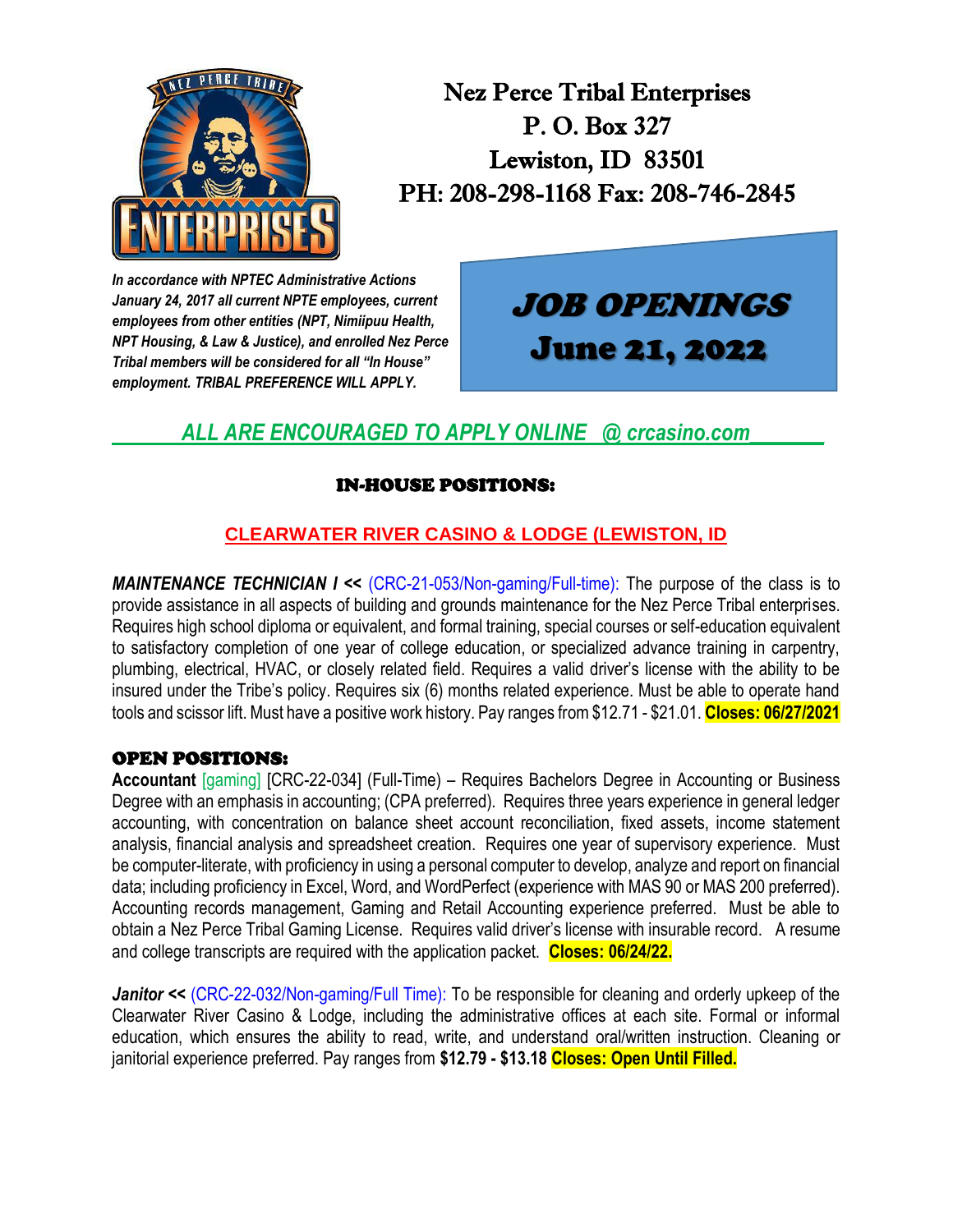

Nez Perce Tribal Enterprises P. O. Box 327 Lewiston, ID 83501 PH: 208-298-1168 Fax: 208-746-2845

*In accordance with NPTEC Administrative Actions January 24, 2017 all current NPTE employees, current employees from other entities (NPT, Nimiipuu Health, NPT Housing, & Law & Justice), and enrolled Nez Perce Tribal members will be considered for all "In House" employment. TRIBAL PREFERENCE WILL APPLY.*

# JOB OPENINGS June 21, 2022

## *ALL ARE ENCOURAGED TO APPLY ONLINE @ crcasino.com\_\_\_\_\_\_\_*

## IN-HOUSE POSITIONS:

## **CLEARWATER RIVER CASINO & LODGE (LEWISTON, ID**

*MAINTENANCE TECHNICIAN I << (CRC-21-053/Non-gaming/Full-time)*: The purpose of the class is to provide assistance in all aspects of building and grounds maintenance for the Nez Perce Tribal enterprises. Requires high school diploma or equivalent, and formal training, special courses or self-education equivalent to satisfactory completion of one year of college education, or specialized advance training in carpentry, plumbing, electrical, HVAC, or closely related field. Requires a valid driver's license with the ability to be insured under the Tribe's policy. Requires six (6) months related experience. Must be able to operate hand tools and scissor lift. Must have a positive work history. Pay ranges from \$12.71 - \$21.01. **Closes: 06/27/2021**

#### OPEN POSITIONS:

**Accountant** [gaming] [CRC-22-034] (Full-Time) – Requires Bachelors Degree in Accounting or Business Degree with an emphasis in accounting; (CPA preferred). Requires three years experience in general ledger accounting, with concentration on balance sheet account reconciliation, fixed assets, income statement analysis, financial analysis and spreadsheet creation. Requires one year of supervisory experience. Must be computer-literate, with proficiency in using a personal computer to develop, analyze and report on financial data; including proficiency in Excel, Word, and WordPerfect (experience with MAS 90 or MAS 200 preferred). Accounting records management, Gaming and Retail Accounting experience preferred. Must be able to obtain a Nez Perce Tribal Gaming License. Requires valid driver's license with insurable record. A resume and college transcripts are required with the application packet. **Closes: 06/24/22.**

Janitor << (CRC-22-032/Non-gaming/Full Time): To be responsible for cleaning and orderly upkeep of the Clearwater River Casino & Lodge, including the administrative offices at each site. Formal or informal education, which ensures the ability to read, write, and understand oral/written instruction. Cleaning or janitorial experience preferred. Pay ranges from **\$12.79 - \$13.18 Closes: Open Until Filled.**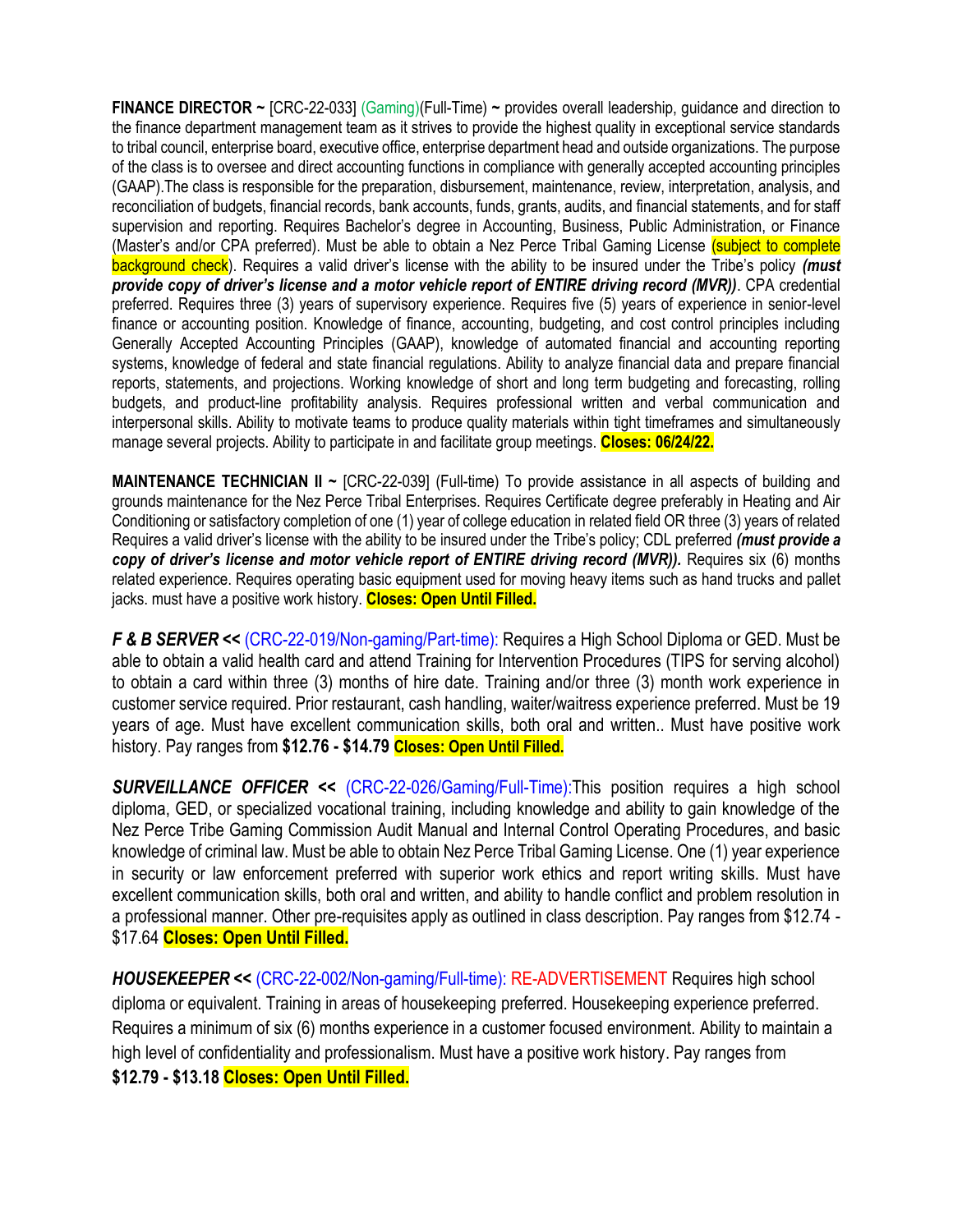**FINANCE DIRECTOR ~** [CRC-22-033] (Gaming)(Full-Time) **~** provides overall leadership, guidance and direction to the finance department management team as it strives to provide the highest quality in exceptional service standards to tribal council, enterprise board, executive office, enterprise department head and outside organizations. The purpose of the class is to oversee and direct accounting functions in compliance with generally accepted accounting principles (GAAP).The class is responsible for the preparation, disbursement, maintenance, review, interpretation, analysis, and reconciliation of budgets, financial records, bank accounts, funds, grants, audits, and financial statements, and for staff supervision and reporting. Requires Bachelor's degree in Accounting, Business, Public Administration, or Finance (Master's and/or CPA preferred). Must be able to obtain a Nez Perce Tribal Gaming License (subject to complete background check). Requires a valid driver's license with the ability to be insured under the Tribe's policy *(must provide copy of driver's license and a motor vehicle report of ENTIRE driving record (MVR))*. CPA credential preferred. Requires three (3) years of supervisory experience. Requires five (5) years of experience in senior-level finance or accounting position. Knowledge of finance, accounting, budgeting, and cost control principles including Generally Accepted Accounting Principles (GAAP), knowledge of automated financial and accounting reporting systems, knowledge of federal and state financial regulations. Ability to analyze financial data and prepare financial reports, statements, and projections. Working knowledge of short and long term budgeting and forecasting, rolling budgets, and product-line profitability analysis. Requires professional written and verbal communication and interpersonal skills. Ability to motivate teams to produce quality materials within tight timeframes and simultaneously manage several projects. Ability to participate in and facilitate group meetings. **Closes: 06/24/22.**

**MAINTENANCE TECHNICIAN II ~** [CRC-22-039] (Full-time) To provide assistance in all aspects of building and grounds maintenance for the Nez Perce Tribal Enterprises. Requires Certificate degree preferably in Heating and Air Conditioning or satisfactory completion of one (1) year of college education in related field OR three (3) years of related Requires a valid driver's license with the ability to be insured under the Tribe's policy; CDL preferred *(must provide a copy of driver's license and motor vehicle report of ENTIRE driving record (MVR)).* Requires six (6) months related experience. Requires operating basic equipment used for moving heavy items such as hand trucks and pallet jacks. must have a positive work history. **Closes: Open Until Filled.**

*F & B SERVER <<* (CRC-22-019/Non-gaming/Part-time): Requires a High School Diploma or GED. Must be able to obtain a valid health card and attend Training for Intervention Procedures (TIPS for serving alcohol) to obtain a card within three (3) months of hire date. Training and/or three (3) month work experience in customer service required. Prior restaurant, cash handling, waiter/waitress experience preferred. Must be 19 years of age. Must have excellent communication skills, both oral and written.. Must have positive work history. Pay ranges from **\$12.76 - \$14.79 Closes: Open Until Filled.**

**SURVEILLANCE OFFICER <<** (CRC-22-026/Gaming/Full-Time): This position requires a high school diploma, GED, or specialized vocational training, including knowledge and ability to gain knowledge of the Nez Perce Tribe Gaming Commission Audit Manual and Internal Control Operating Procedures, and basic knowledge of criminal law. Must be able to obtain Nez Perce Tribal Gaming License. One (1) year experience in security or law enforcement preferred with superior work ethics and report writing skills. Must have excellent communication skills, both oral and written, and ability to handle conflict and problem resolution in a professional manner. Other pre-requisites apply as outlined in class description. Pay ranges from \$12.74 - \$17.64 **Closes: Open Until Filled.**

*HOUSEKEEPER <<* (CRC-22-002/Non-gaming/Full-time): RE-ADVERTISEMENT Requires high school diploma or equivalent. Training in areas of housekeeping preferred. Housekeeping experience preferred. Requires a minimum of six (6) months experience in a customer focused environment. Ability to maintain a high level of confidentiality and professionalism. Must have a positive work history. Pay ranges from **\$12.79 - \$13.18 Closes: Open Until Filled.**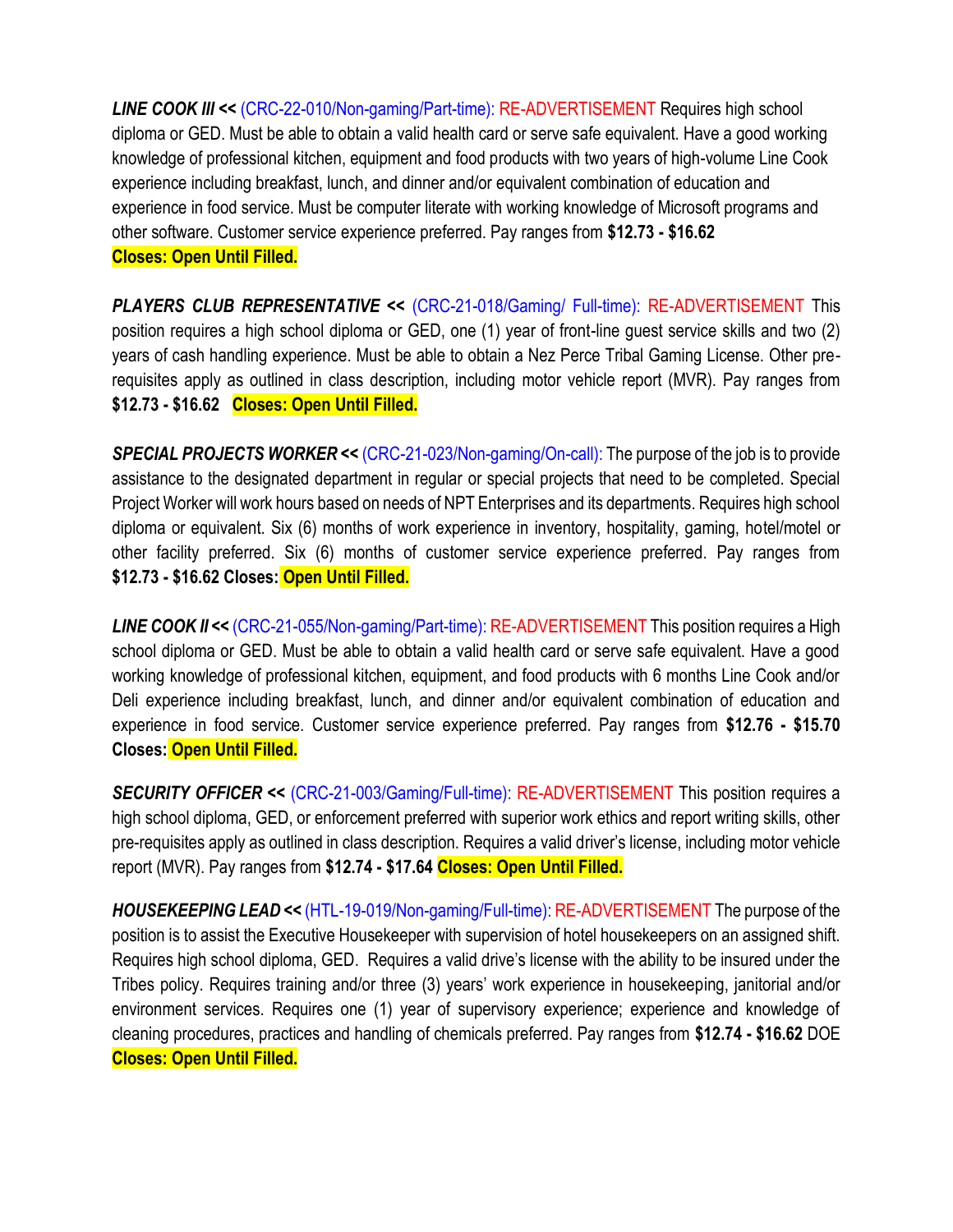*LINE COOK III <<* (CRC-22-010/Non-gaming/Part-time): RE-ADVERTISEMENT Requires high school diploma or GED. Must be able to obtain a valid health card or serve safe equivalent. Have a good working knowledge of professional kitchen, equipment and food products with two years of high-volume Line Cook experience including breakfast, lunch, and dinner and/or equivalent combination of education and experience in food service. Must be computer literate with working knowledge of Microsoft programs and other software. Customer service experience preferred. Pay ranges from **\$12.73 - \$16.62 Closes: Open Until Filled.**

*PLAYERS CLUB REPRESENTATIVE <<* (CRC-21-018/Gaming/ Full-time): RE-ADVERTISEMENT This position requires a high school diploma or GED, one (1) year of front-line guest service skills and two (2) years of cash handling experience. Must be able to obtain a Nez Perce Tribal Gaming License. Other prerequisites apply as outlined in class description, including motor vehicle report (MVR). Pay ranges from **\$12.73 - \$16.62 Closes: Open Until Filled.**

*SPECIAL PROJECTS WORKER <<* (CRC-21-023/Non-gaming/On-call): The purpose of the job is to provide assistance to the designated department in regular or special projects that need to be completed. Special Project Worker will work hours based on needs of NPT Enterprises and its departments. Requires high school diploma or equivalent. Six (6) months of work experience in inventory, hospitality, gaming, hotel/motel or other facility preferred. Six (6) months of customer service experience preferred. Pay ranges from **\$12.73 - \$16.62 Closes: Open Until Filled.**

*LINE COOK II <<* (CRC-21-055/Non-gaming/Part-time): RE-ADVERTISEMENT This position requires a High school diploma or GED. Must be able to obtain a valid health card or serve safe equivalent. Have a good working knowledge of professional kitchen, equipment, and food products with 6 months Line Cook and/or Deli experience including breakfast, lunch, and dinner and/or equivalent combination of education and experience in food service. Customer service experience preferred. Pay ranges from **\$12.76 - \$15.70 Closes: Open Until Filled.**

*SECURITY OFFICER <<* (CRC-21-003/Gaming/Full-time): RE-ADVERTISEMENT This position requires a high school diploma, GED, or enforcement preferred with superior work ethics and report writing skills, other pre-requisites apply as outlined in class description. Requires a valid driver's license, including motor vehicle report (MVR). Pay ranges from **\$12.74 - \$17.64 Closes: Open Until Filled.**

*HOUSEKEEPING LEAD <<* (HTL-19-019/Non-gaming/Full-time): RE-ADVERTISEMENT The purpose of the position is to assist the Executive Housekeeper with supervision of hotel housekeepers on an assigned shift. Requires high school diploma, GED. Requires a valid drive's license with the ability to be insured under the Tribes policy. Requires training and/or three (3) years' work experience in housekeeping, janitorial and/or environment services. Requires one (1) year of supervisory experience; experience and knowledge of cleaning procedures, practices and handling of chemicals preferred. Pay ranges from **\$12.74 - \$16.62** DOE **Closes: Open Until Filled.**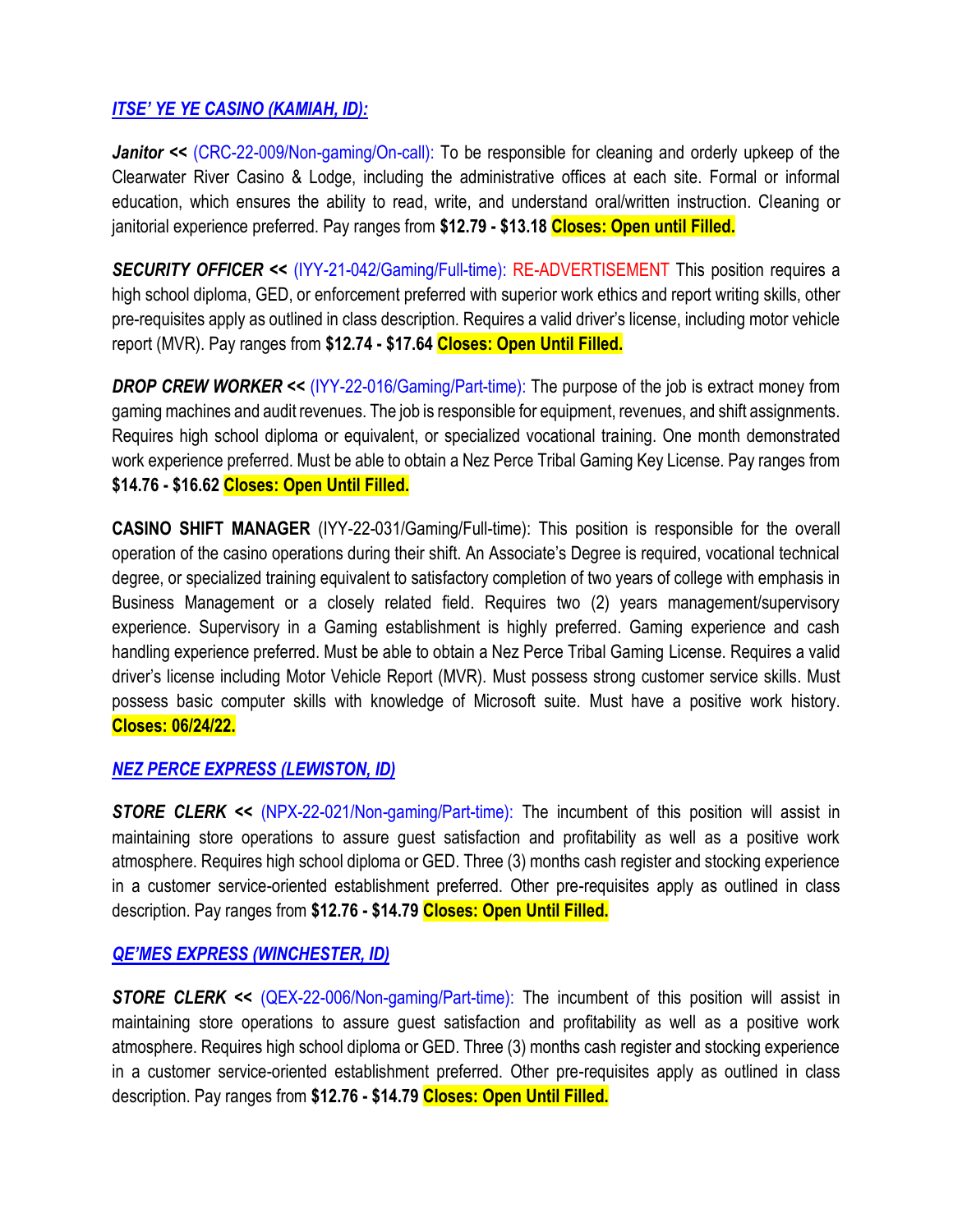#### *ITSE' YE YE CASINO (KAMIAH, ID):*

*Janitor << (CRC-22-009/Non-gaming/On-call)*: To be responsible for cleaning and orderly upkeep of the Clearwater River Casino & Lodge, including the administrative offices at each site. Formal or informal education, which ensures the ability to read, write, and understand oral/written instruction. Cleaning or janitorial experience preferred. Pay ranges from **\$12.79 - \$13.18 Closes: Open until Filled.**

*SECURITY OFFICER <<* (IYY-21-042/Gaming/Full-time): RE-ADVERTISEMENT This position requires a high school diploma, GED, or enforcement preferred with superior work ethics and report writing skills, other pre-requisites apply as outlined in class description. Requires a valid driver's license, including motor vehicle report (MVR). Pay ranges from **\$12.74 - \$17.64 Closes: Open Until Filled.**

**DROP CREW WORKER << (IYY-22-016/Gaming/Part-time):** The purpose of the job is extract money from gaming machines and audit revenues. The job is responsible for equipment, revenues, and shift assignments. Requires high school diploma or equivalent, or specialized vocational training. One month demonstrated work experience preferred. Must be able to obtain a Nez Perce Tribal Gaming Key License. Pay ranges from **\$14.76 - \$16.62 Closes: Open Until Filled.**

**CASINO SHIFT MANAGER** (IYY-22-031/Gaming/Full-time): This position is responsible for the overall operation of the casino operations during their shift. An Associate's Degree is required, vocational technical degree, or specialized training equivalent to satisfactory completion of two years of college with emphasis in Business Management or a closely related field. Requires two (2) years management/supervisory experience. Supervisory in a Gaming establishment is highly preferred. Gaming experience and cash handling experience preferred. Must be able to obtain a Nez Perce Tribal Gaming License. Requires a valid driver's license including Motor Vehicle Report (MVR). Must possess strong customer service skills. Must possess basic computer skills with knowledge of Microsoft suite. Must have a positive work history. **Closes: 06/24/22.**

#### *NEZ PERCE EXPRESS (LEWISTON, ID)*

**STORE CLERK <<** (NPX-22-021/Non-gaming/Part-time): The incumbent of this position will assist in maintaining store operations to assure guest satisfaction and profitability as well as a positive work atmosphere. Requires high school diploma or GED. Three (3) months cash register and stocking experience in a customer service-oriented establishment preferred. Other pre-requisites apply as outlined in class description. Pay ranges from **\$12.76 - \$14.79 Closes: Open Until Filled.**

#### *QE'MES EXPRESS (WINCHESTER, ID)*

**STORE CLERK <<** (QEX-22-006/Non-gaming/Part-time): The incumbent of this position will assist in maintaining store operations to assure guest satisfaction and profitability as well as a positive work atmosphere. Requires high school diploma or GED. Three (3) months cash register and stocking experience in a customer service-oriented establishment preferred. Other pre-requisites apply as outlined in class description. Pay ranges from **\$12.76 - \$14.79 Closes: Open Until Filled.**